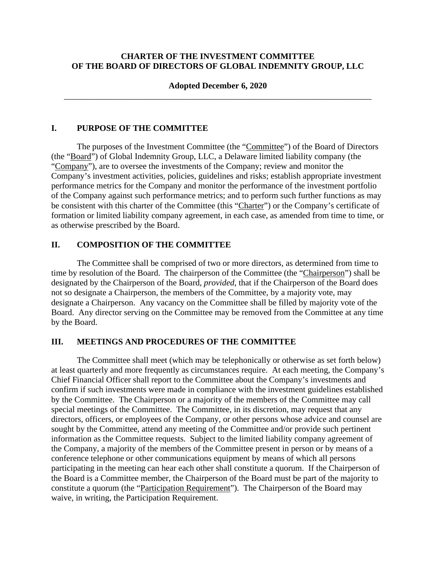## **CHARTER OF THE INVESTMENT COMMITTEE OF THE BOARD OF DIRECTORS OF GLOBAL INDEMNITY GROUP, LLC**

### **Adopted December 6, 2020**  \_\_\_\_\_\_\_\_\_\_\_\_\_\_\_\_\_\_\_\_\_\_\_\_\_\_\_\_\_\_\_\_\_\_\_\_\_\_\_\_\_\_\_\_\_\_\_\_\_\_\_\_\_\_\_\_\_\_\_\_\_\_\_\_\_\_\_\_\_\_\_\_

#### **I. PURPOSE OF THE COMMITTEE**

The purposes of the Investment Committee (the "Committee") of the Board of Directors (the "Board") of Global Indemnity Group, LLC, a Delaware limited liability company (the "Company"), are to oversee the investments of the Company; review and monitor the Company's investment activities, policies, guidelines and risks; establish appropriate investment performance metrics for the Company and monitor the performance of the investment portfolio of the Company against such performance metrics; and to perform such further functions as may be consistent with this charter of the Committee (this "Charter") or the Company's certificate of formation or limited liability company agreement, in each case, as amended from time to time, or as otherwise prescribed by the Board.

### **II. COMPOSITION OF THE COMMITTEE**

The Committee shall be comprised of two or more directors, as determined from time to time by resolution of the Board. The chairperson of the Committee (the "Chairperson") shall be designated by the Chairperson of the Board, *provided*, that if the Chairperson of the Board does not so designate a Chairperson, the members of the Committee, by a majority vote, may designate a Chairperson. Any vacancy on the Committee shall be filled by majority vote of the Board. Any director serving on the Committee may be removed from the Committee at any time by the Board.

### **III. MEETINGS AND PROCEDURES OF THE COMMITTEE**

The Committee shall meet (which may be telephonically or otherwise as set forth below) at least quarterly and more frequently as circumstances require. At each meeting, the Company's Chief Financial Officer shall report to the Committee about the Company's investments and confirm if such investments were made in compliance with the investment guidelines established by the Committee. The Chairperson or a majority of the members of the Committee may call special meetings of the Committee. The Committee, in its discretion, may request that any directors, officers, or employees of the Company, or other persons whose advice and counsel are sought by the Committee, attend any meeting of the Committee and/or provide such pertinent information as the Committee requests. Subject to the limited liability company agreement of the Company, a majority of the members of the Committee present in person or by means of a conference telephone or other communications equipment by means of which all persons participating in the meeting can hear each other shall constitute a quorum. If the Chairperson of the Board is a Committee member, the Chairperson of the Board must be part of the majority to constitute a quorum (the "Participation Requirement"). The Chairperson of the Board may waive, in writing, the Participation Requirement.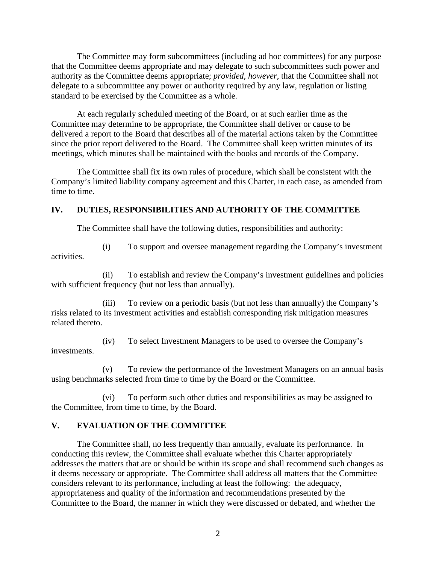The Committee may form subcommittees (including ad hoc committees) for any purpose that the Committee deems appropriate and may delegate to such subcommittees such power and authority as the Committee deems appropriate; *provided, however,* that the Committee shall not delegate to a subcommittee any power or authority required by any law, regulation or listing standard to be exercised by the Committee as a whole.

At each regularly scheduled meeting of the Board, or at such earlier time as the Committee may determine to be appropriate, the Committee shall deliver or cause to be delivered a report to the Board that describes all of the material actions taken by the Committee since the prior report delivered to the Board. The Committee shall keep written minutes of its meetings, which minutes shall be maintained with the books and records of the Company.

The Committee shall fix its own rules of procedure, which shall be consistent with the Company's limited liability company agreement and this Charter, in each case, as amended from time to time.

# **IV. DUTIES, RESPONSIBILITIES AND AUTHORITY OF THE COMMITTEE**

The Committee shall have the following duties, responsibilities and authority:

activities.

(i) To support and oversee management regarding the Company's investment

(ii) To establish and review the Company's investment guidelines and policies with sufficient frequency (but not less than annually).

(iii) To review on a periodic basis (but not less than annually) the Company's risks related to its investment activities and establish corresponding risk mitigation measures related thereto.

(iv) To select Investment Managers to be used to oversee the Company's investments.

(v) To review the performance of the Investment Managers on an annual basis using benchmarks selected from time to time by the Board or the Committee.

(vi) To perform such other duties and responsibilities as may be assigned to the Committee, from time to time, by the Board.

# **V. EVALUATION OF THE COMMITTEE**

The Committee shall, no less frequently than annually, evaluate its performance. In conducting this review, the Committee shall evaluate whether this Charter appropriately addresses the matters that are or should be within its scope and shall recommend such changes as it deems necessary or appropriate. The Committee shall address all matters that the Committee considers relevant to its performance, including at least the following: the adequacy, appropriateness and quality of the information and recommendations presented by the Committee to the Board, the manner in which they were discussed or debated, and whether the